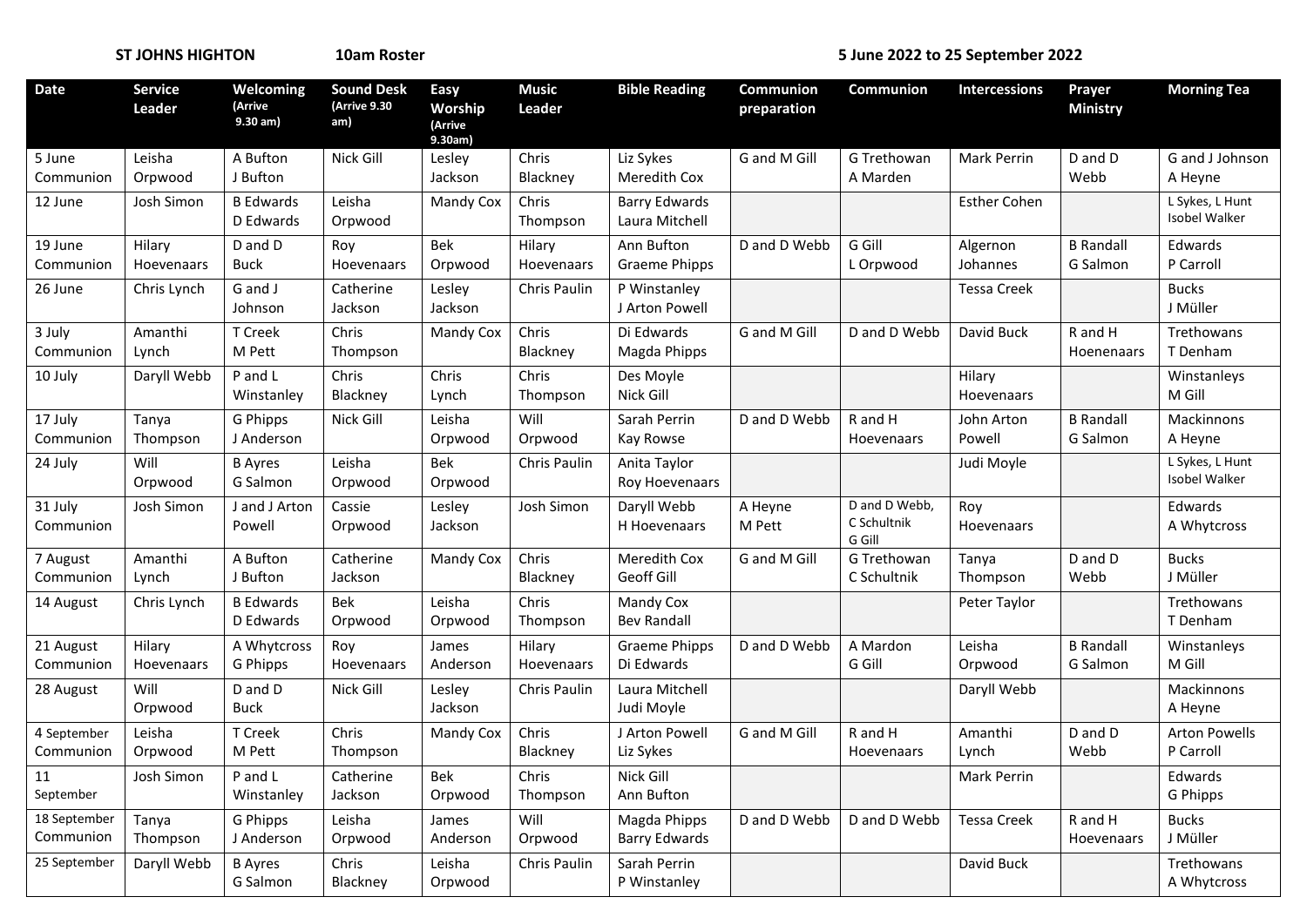**ST JOHNS HIGHTON 10am Roster 5 June 2022 to 25 September 2022**

| <b>Date</b>               | <b>Service</b><br>Leader | Welcoming<br>(Arrive<br>9.30 am) | <b>Sound Desk</b><br>(Arrive 9.30<br>am) | Easy<br>Worship<br>(Arrive<br>9.30am) | <b>Music</b><br>Leader | <b>Bible Reading</b>                   | <b>Communion</b><br>preparation | Communion                              | <b>Intercessions</b> | Prayer<br><b>Ministry</b>    | <b>Morning Tea</b>                |
|---------------------------|--------------------------|----------------------------------|------------------------------------------|---------------------------------------|------------------------|----------------------------------------|---------------------------------|----------------------------------------|----------------------|------------------------------|-----------------------------------|
| 5 June<br>Communion       | Leisha<br>Orpwood        | A Bufton<br>J Bufton             | Nick Gill                                | Lesley<br>Jackson                     | Chris<br>Blackney      | Liz Sykes<br>Meredith Cox              | G and M Gill                    | G Trethowan<br>A Marden                | Mark Perrin          | D and D<br>Webb              | G and J Johnson<br>A Heyne        |
| 12 June                   | Josh Simon               | <b>B</b> Edwards<br>D Edwards    | Leisha<br>Orpwood                        | Mandy Cox                             | Chris<br>Thompson      | <b>Barry Edwards</b><br>Laura Mitchell |                                 |                                        | <b>Esther Cohen</b>  |                              | L Sykes, L Hunt<br>Isobel Walker  |
| 19 June<br>Communion      | Hilary<br>Hoevenaars     | D and D<br><b>Buck</b>           | Roy<br>Hoevenaars                        | Bek<br>Orpwood                        | Hilary<br>Hoevenaars   | Ann Bufton<br><b>Graeme Phipps</b>     | D and D Webb                    | G Gill<br>L Orpwood                    | Algernon<br>Johannes | <b>B</b> Randall<br>G Salmon | Edwards<br>P Carroll              |
| 26 June                   | Chris Lynch              | G and J<br>Johnson               | Catherine<br>Jackson                     | Lesley<br>Jackson                     | Chris Paulin           | P Winstanley<br>J Arton Powell         |                                 |                                        | <b>Tessa Creek</b>   |                              | <b>Bucks</b><br>J Müller          |
| 3 July<br>Communion       | Amanthi<br>Lynch         | T Creek<br>M Pett                | Chris<br>Thompson                        | Mandy Cox                             | Chris<br>Blackney      | Di Edwards<br>Magda Phipps             | G and M Gill                    | D and D Webb                           | David Buck           | R and H<br>Hoenenaars        | Trethowans<br>T Denham            |
| 10 July                   | Daryll Webb              | P and L<br>Winstanley            | Chris<br>Blackney                        | Chris<br>Lynch                        | Chris<br>Thompson      | Des Moyle<br>Nick Gill                 |                                 |                                        | Hilary<br>Hoevenaars |                              | Winstanleys<br>M Gill             |
| 17 July<br>Communion      | Tanya<br>Thompson        | G Phipps<br>J Anderson           | Nick Gill                                | Leisha<br>Orpwood                     | Will<br>Orpwood        | Sarah Perrin<br>Kay Rowse              | D and D Webb                    | R and H<br>Hoevenaars                  | John Arton<br>Powell | <b>B</b> Randall<br>G Salmon | Mackinnons<br>A Heyne             |
| 24 July                   | Will<br>Orpwood          | <b>B</b> Ayres<br>G Salmon       | Leisha<br>Orpwood                        | Bek<br>Orpwood                        | Chris Paulin           | Anita Taylor<br>Roy Hoevenaars         |                                 |                                        | Judi Moyle           |                              | L Sykes, L Hunt<br>Isobel Walker  |
| 31 July<br>Communion      | Josh Simon               | J and J Arton<br>Powell          | Cassie<br>Orpwood                        | Lesley<br>Jackson                     | Josh Simon             | Daryll Webb<br>H Hoevenaars            | A Heyne<br>M Pett               | D and D Webb,<br>C Schultnik<br>G Gill | Roy<br>Hoevenaars    |                              | Edwards<br>A Whytcross            |
| 7 August<br>Communion     | Amanthi<br>Lynch         | A Bufton<br>J Bufton             | Catherine<br>Jackson                     | Mandy Cox                             | Chris<br>Blackney      | Meredith Cox<br>Geoff Gill             | G and M Gill                    | G Trethowan<br>C Schultnik             | Tanya<br>Thompson    | D and D<br>Webb              | <b>Bucks</b><br>J Müller          |
| 14 August                 | Chris Lynch              | <b>B</b> Edwards<br>D Edwards    | Bek<br>Orpwood                           | Leisha<br>Orpwood                     | Chris<br>Thompson      | Mandy Cox<br><b>Bev Randall</b>        |                                 |                                        | Peter Taylor         |                              | Trethowans<br>T Denham            |
| 21 August<br>Communion    | Hilary<br>Hoevenaars     | A Whytcross<br>G Phipps          | Roy<br>Hoevenaars                        | James<br>Anderson                     | Hilary<br>Hoevenaars   | <b>Graeme Phipps</b><br>Di Edwards     | D and D Webb                    | A Mardon<br>G Gill                     | Leisha<br>Orpwood    | <b>B</b> Randall<br>G Salmon | Winstanleys<br>M Gill             |
| 28 August                 | Will<br>Orpwood          | D and D<br><b>Buck</b>           | Nick Gill                                | Lesley<br>Jackson                     | Chris Paulin           | Laura Mitchell<br>Judi Moyle           |                                 |                                        | Daryll Webb          |                              | Mackinnons<br>A Heyne             |
| 4 September<br>Communion  | Leisha<br>Orpwood        | T Creek<br>M Pett                | Chris<br>Thompson                        | Mandy Cox                             | Chris<br>Blackney      | J Arton Powell<br>Liz Sykes            | G and M Gill                    | R and H<br>Hoevenaars                  | Amanthi<br>Lynch     | D and D<br>Webb              | <b>Arton Powells</b><br>P Carroll |
| 11<br>September           | Josh Simon               | P and L<br>Winstanley            | Catherine<br>Jackson                     | Bek<br>Orpwood                        | Chris<br>Thompson      | Nick Gill<br>Ann Bufton                |                                 |                                        | Mark Perrin          |                              | Edwards<br>G Phipps               |
| 18 September<br>Communion | Tanya<br>Thompson        | G Phipps<br>J Anderson           | Leisha<br>Orpwood                        | James<br>Anderson                     | Will<br>Orpwood        | Magda Phipps<br><b>Barry Edwards</b>   | D and D Webb                    | D and D Webb                           | <b>Tessa Creek</b>   | R and H<br>Hoevenaars        | <b>Bucks</b><br>J Müller          |
| 25 September              | Daryll Webb              | <b>B</b> Ayres<br>G Salmon       | Chris<br>Blackney                        | Leisha<br>Orpwood                     | Chris Paulin           | Sarah Perrin<br>P Winstanley           |                                 |                                        | David Buck           |                              | Trethowans<br>A Whytcross         |